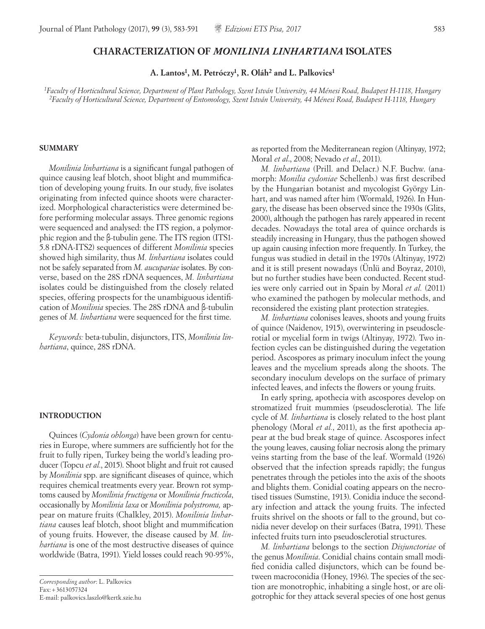# **CHARACTERIZATION OF** *MONILINIA LINHARTIANA* **ISOLATES**

**A. Lantos1, M. Petróczy1, R. Oláh2 and L. Palkovics1**

*1Faculty of Horticultural Science, Department of Plant Pathology, Szent István University, 44 Ménesi Road, Budapest H-1118, Hungary 2Faculty of Horticultural Science, Department of Entomology, Szent István University, 44 Ménesi Road, Budapest H-1118, Hungary*

### **SUMMARY**

*Monilinia linhartiana* is a significant fungal pathogen of quince causing leaf blotch, shoot blight and mummification of developing young fruits. In our study, five isolates originating from infected quince shoots were characterized. Morphological characteristics were determined before performing molecular assays. Three genomic regions were sequenced and analysed: the ITS region, a polymorphic region and the β-tubulin gene. The ITS region (ITS1- 5.8 rDNA-ITS2) sequences of different *Monilinia* species showed high similarity, thus *M. linhartiana* isolates could not be safely separated from *M. aucupariae* isolates. By converse, based on the 28S rDNA sequences, *M. linhartiana* isolates could be distinguished from the closely related species, offering prospects for the unambiguous identification of *Monilinia* species. The 28S rDNA and β-tubulin genes of *M. linhartiana* were sequenced for the first time.

*Keywords:* beta-tubulin, disjunctors, ITS, *Monilinia linhartiana*, quince, 28S rDNA.

#### **INTRODUCTION**

Quinces (*Cydonia oblonga*) have been grown for centuries in Europe, where summers are sufficiently hot for the fruit to fully ripen, Turkey being the world's leading producer (Topcu *et al.*, 2015). Shoot blight and fruit rot caused by *Monilinia* spp. are significant diseases of quince, which requires chemical treatments every year. Brown rot symptoms caused by *Monilinia fructigena* or *Monilinia fructicola*, occasionally by *Monilinia laxa* or *Monilinia polystroma,* appear on mature fruits (Chalkley, 2015). *Monilinia linhartiana* causes leaf blotch, shoot blight and mummification of young fruits. However, the disease caused by *M. linhartiana* is one of the most destructive diseases of quince worldwide (Batra, 1991). Yield losses could reach 90-95%, as reported from the Mediterranean region (Altinyay, 1972; Moral *et al*., 2008; Nevado *et al*., 2011).

*M. linhartiana* (Prill. and Delacr.) N.F. Buchw. (anamorph: *Monilia cydoniae* Schellenb.) was first described by the Hungarian botanist and mycologist György Linhart, and was named after him (Wormald, 1926). In Hungary, the disease has been observed since the 1930s (Glits, 2000), although the pathogen has rarely appeared in recent decades. Nowadays the total area of quince orchards is steadily increasing in Hungary, thus the pathogen showed up again causing infection more frequently. In Turkey, the fungus was studied in detail in the 1970s (Altinyay, 1972) and it is still present nowadays (Ünlü and Boyraz, 2010), but no further studies have been conducted. Recent studies were only carried out in Spain by Moral *et al.* (2011) who examined the pathogen by molecular methods, and reconsidered the existing plant protection strategies.

*M. linhartiana* colonises leaves, shoots and young fruits of quince (Naidenov, 1915), overwintering in pseudosclerotial or mycelial form in twigs (Altinyay, 1972). Two infection cycles can be distinguished during the vegetation period. Ascospores as primary inoculum infect the young leaves and the mycelium spreads along the shoots. The secondary inoculum develops on the surface of primary infected leaves, and infects the flowers or young fruits.

In early spring, apothecia with ascospores develop on stromatized fruit mummies (pseudosclerotia). The life cycle of *M. linhartiana* is closely related to the host plant phenology (Moral *et al.*, 2011), as the first apothecia appear at the bud break stage of quince. Ascospores infect the young leaves, causing foliar necrosis along the primary veins starting from the base of the leaf. Wormald (1926) observed that the infection spreads rapidly; the fungus penetrates through the petioles into the axis of the shoots and blights them. Conidial coating appears on the necrotised tissues (Sumstine, 1913). Conidia induce the secondary infection and attack the young fruits. The infected fruits shrivel on the shoots or fall to the ground, but conidia never develop on their surfaces (Batra, 1991). These infected fruits turn into pseudosclerotial structures.

*M. linhartiana* belongs to the section *Disjunctoriae* of the genus *Monilinia*. Conidial chains contain small modified conidia called disjunctors, which can be found between macroconidia (Honey, 1936). The species of the section are monotrophic, inhabiting a single host, or are oligotrophic for they attack several species of one host genus

*Corresponding author*: L. Palkovics Fax:+3613057324 E-mail: palkovics.laszlo@kertk.szie.hu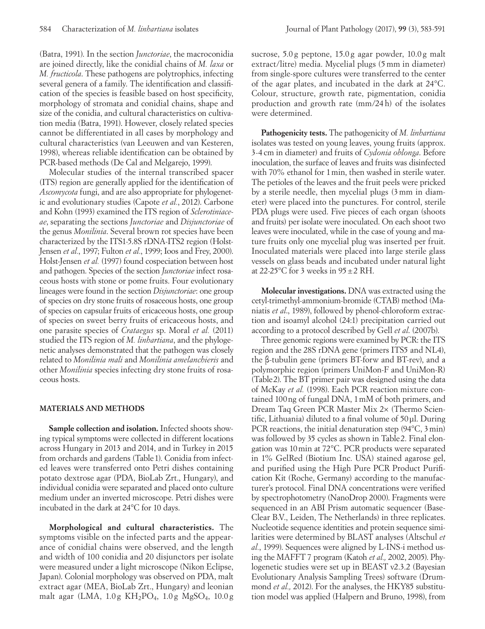584 Characterization of *M. linhartiana* isolates Journal of Plant Pathology (2017), **99** (3), 583-591

(Batra, 1991). In the section *Junctoriae*, the macroconidia are joined directly, like the conidial chains of *M. laxa* or *M. fructicola*. These pathogens are polytrophics, infecting several genera of a family. The identification and classification of the species is feasible based on host specificity, morphology of stromata and conidial chains, shape and size of the conidia, and cultural characteristics on cultivation media (Batra, 1991). However, closely related species cannot be differentiated in all cases by morphology and cultural characteristics (van Leeuwen and van Kesteren, 1998), whereas reliable identification can be obtained by PCR-based methods (De Cal and Melgarejo, 1999).

Molecular studies of the internal transcribed spacer (ITS) region are generally applied for the identification of *Ascomycota* fungi, and are also appropriate for phylogenetic and evolutionary studies (Capote *et al.*, 2012). Carbone and Kohn (1993) examined the ITS region of *Sclerotiniaceae*, separating the sections *Junctoriae* and *Disjunctoriae* of the genus *Monilinia*. Several brown rot species have been characterized by the ITS1-5.8S rDNA-ITS2 region (Holst-Jensen *et al.*, 1997; Fulton *et al.*, 1999; Ioos and Frey, 2000). Holst-Jensen *et al.* (1997) found cospeciation between host and pathogen. Species of the section *Junctoriae* infect rosaceous hosts with stone or pome fruits. Four evolutionary lineages were found in the section *Disjunctoriae*: one group of species on dry stone fruits of rosaceous hosts, one group of species on capsular fruits of ericaceous hosts, one group of species on sweet berry fruits of ericaceous hosts, and one parasite species of *Crataegus* sp. Moral *et al.* (2011) studied the ITS region of *M. linhartiana*, and the phylogenetic analyses demonstrated that the pathogen was closely related to *Monilinia mali* and *Monilinia amelanchieris* and other *Monilinia* species infecting dry stone fruits of rosaceous hosts.

## **MATERIALS AND METHODS**

**Sample collection and isolation.** Infected shoots showing typical symptoms were collected in different locations across Hungary in 2013 and 2014, and in Turkey in 2015 from orchards and gardens (Table 1). Conidia from infected leaves were transferred onto Petri dishes containing potato dextrose agar (PDA, BioLab Zrt., Hungary), and individual conidia were separated and placed onto culture medium under an inverted microscope. Petri dishes were incubated in the dark at 24°C for 10 days.

**Morphological and cultural characteristics.** The symptoms visible on the infected parts and the appearance of conidial chains were observed, and the length and width of 100 conidia and 20 disjunctors per isolate were measured under a light microscope (Nikon Eclipse, Japan). Colonial morphology was observed on PDA, malt extract agar (MEA, BioLab Zrt., Hungary) and leonian malt agar (LMA,  $1.0 g K H_2PO_4$ ,  $1.0 g MgSO_4$ ,  $10.0 g$  sucrose, 5.0 g peptone, 15.0 g agar powder, 10.0 g malt extract/litre) media. Mycelial plugs (5mm in diameter) from single-spore cultures were transferred to the center of the agar plates, and incubated in the dark at 24°C. Colour, structure, growth rate, pigmentation, conidia production and growth rate (mm/24 h) of the isolates were determined.

**Pathogenicity tests.** The pathogenicity of *M. linhartiana* isolates was tested on young leaves, young fruits (approx. 3-4cm in diameter) and fruits of *Cydonia oblonga*. Before inoculation, the surface of leaves and fruits was disinfected with 70% ethanol for 1min, then washed in sterile water. The petioles of the leaves and the fruit peels were pricked by a sterile needle, then mycelial plugs (3mm in diameter) were placed into the punctures. For control, sterile PDA plugs were used. Five pieces of each organ (shoots and fruits) per isolate were inoculated. On each shoot two leaves were inoculated, while in the case of young and mature fruits only one mycelial plug was inserted per fruit. Inoculated materials were placed into large sterile glass vessels on glass beads and incubated under natural light at 22-25 $\mathrm{^{\circ}C}$  for 3 weeks in 95  $\pm$  2 RH.

**Molecular investigations.** DNA was extracted using the cetyl-trimethyl-ammonium-bromide (CTAB) method (Maniatis *et al*., 1989), followed by phenol-chloroform extraction and isoamyl alcohol (24:1) precipitation carried out according to a protocol described by Gell *et al*. (2007b).

Three genomic regions were examined by PCR: the ITS region and the 28S rDNA gene (primers ITS5 and NL4), the β-tubulin gene (primers BT-forw and BT-rev), and a polymorphic region (primers UniMon-F and UniMon-R) (Table2). The BT primer pair was designed using the data of McKay *et al.* (1998). Each PCR reaction mixture contained 100ng of fungal DNA, 1mM of both primers, and Dream Taq Green PCR Master Mix 2× (Thermo Scientific, Lithuania) diluted to a final volume of 50μl. During PCR reactions, the initial denaturation step (94°C, 3min) was followed by 35 cycles as shown in Table2. Final elongation was 10min at 72°C. PCR products were separated in 1% GelRed (Biotium Inc. USA) stained agarose gel, and purified using the High Pure PCR Product Purification Kit (Roche, Germany) according to the manufacturer's protocol. Final DNA concentrations were verified by spectrophotometry (NanoDrop 2000). Fragments were sequenced in an ABI Prism automatic sequencer (Base-Clear B.V., Leiden, The Netherlands) in three replicates. Nucleotide sequence identities and protein sequence similarities were determined by BLAST analyses (Altschul *et al.*, 1999). Sequences were aligned by L-INS-i method using the MAFFT 7 program (Katoh *et al.,* 2002, 2005). Phylogenetic studies were set up in BEAST v2.3.2 (Bayesian Evolutionary Analysis Sampling Trees) software (Drummond *et al.,* 2012). For the analyses, the HKY85 substitution model was applied (Halpern and Bruno, 1998), from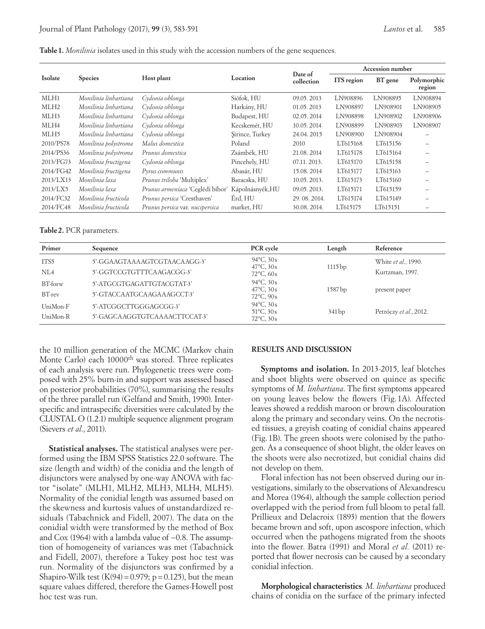**Table1.** *Monilinia* isolates used in this study with the accession numbers of the gene sequences.

| Isolate          | <b>Species</b>        | Host plant                       | Location         | Date of<br>collection | Accession number |          |                          |
|------------------|-----------------------|----------------------------------|------------------|-----------------------|------------------|----------|--------------------------|
|                  |                       |                                  |                  |                       | ITS region       | BT gene  | Polymorphic<br>region    |
| MLH1             | Monilinia linhartiana | Cydonia oblonga                  | Siófok, HU       | 09.05.2013            | LN908896         | LN908895 | LN908894                 |
| MLH <sub>2</sub> | Monilinia linhartiana | Cydonia oblonga                  | Harkány, HU      | 01.05.2013            | LN908897         | LN908901 | LN908905                 |
| MLH3             | Monilinia linhartiana | Cydonia oblonga                  | Budapest, HU     | 02.05.2014            | LN908898         | LN908902 | LN908906                 |
| MLH4             | Monilinia linhartiana | Cydonia oblonga                  | Kecskemét, HU    | 10.05.2014            | LN908899         | LN908903 | LN908907                 |
| MLH <sub>5</sub> | Monilinia linhartiana | Cydonia oblonga                  | Sirince, Turkey  | 24.04.2015            | LN908900         | LN908904 |                          |
| 2010/PS78        | Monilinia polystroma  | Malus domestica                  | Poland           | 2010                  | LT615168         | LT615156 |                          |
| 2014/PS36        | Monilinia polystroma  | Prunus domestica                 | Zsámbék, HU      | 21.08.2014            | LT615178         | LT615164 | $\qquad \qquad -$        |
| 2013/FG73        | Monilinia fructigena  | Cydonia oblonga                  | Pincehely, HU    | 07.11.2013.           | LT615170         | LT615158 |                          |
| 2014/FG42        | Monilinia fructigena  | Pyrus communis                   | Abasár, HU       | 15.08.2014            | LT615177         | LT615163 | $\overline{\phantom{0}}$ |
| 2013/LX13        | Monilinia laxa        | Prunus triloba 'Multiplex'       | Baracska, HU     | 10.05.2013.           | LT615173         | LT615160 |                          |
| 2013/LX5         | Monilinia laxa        | Prunus armeniaca 'Ceglédi bíbor' | Kápolnásnyék, HU | 09.05.2013.           | LT615171         | LT615159 |                          |
| 2014/FC32        | Monilinia fructicola  | Prunus persica 'Cresthaven'      | Érd, HU          | 29.08.2014.           | LT615174         | LT615149 |                          |
| 2014/FC48        | Monilinia fructicola  | Prunus persica var. nucipersica  | market, HU       | 30.08.2014.           | LT615175         | LT615151 |                          |

**Table2.** PCR parameters.

| Primer          | <b>Sequence</b>               | <b>PCR</b> cycle                             | Length             | Reference              |
|-----------------|-------------------------------|----------------------------------------------|--------------------|------------------------|
| ITS5            | 5'-GGAAGTAAAAGTCGTAACAAGG-3'  | $94^{\circ}$ C, $30s$                        |                    | White et al., 1990.    |
| NL <sub>4</sub> | 5'-GGTCCGTGTTTCAAGACGG-3'     | $47^{\circ}$ C, 30s<br>$72^{\circ}$ C, 60s   | 1115bp             | Kurtzman, 1997.        |
| BT-forw         | 5'-ATGCGTGAGATTGTACGTAT-3'    | $94^{\circ}$ C, $30s$                        |                    |                        |
| $BT$ -rev       | 5'-GTACCAATGCAAGAAAGCCT-3'    | $47^{\circ}$ C, 30s<br>$72^{\circ}$ C, $90s$ | 1587 <sub>bp</sub> | present paper          |
| UniMon-F        | 5'-ATCGGCTTGGGAGCGG-3'        | $94^{\circ}$ C, 30s                          |                    |                        |
| UniMon-R        | 5'-GAGCAAGGTGTCAAAACTTCCAT-3' | $51^{\circ}$ C, 30s<br>$72^{\circ}$ C, 30s   | 341bp              | Petróczy et al., 2012. |

the 10 million generation of the MCMC (Markov chain Monte Carlo) each 10000<sup>th</sup> was stored. Three replicates of each analysis were run. Phylogenetic trees were composed with 25% burn-in and support was assessed based on posterior probabilities (70%), summarising the results of the three parallel run (Gelfand and Smith, 1990). Interspecific and intraspecific diversities were calculated by the CLUSTAL O (1.2.1) multiple sequence alignment program (Sievers *et al.*, 2011).

**Statistical analyses.** The statistical analyses were performed using the IBM SPSS Statistics 22.0 software. The size (length and width) of the conidia and the length of disjunctors were analysed by one-way ANOVA with factor "isolate" (MLH1, MLH2, MLH3, MLH4, MLH5). Normality of the conidial length was assumed based on the skewness and kurtosis values of unstandardized residuals (Tabachnick and Fidell, 2007). The data on the conidial width were transformed by the method of Box and Cox (1964) with a lambda value of −0.8. The assumption of homogeneity of variances was met (Tabachnick and Fidell, 2007), therefore a Tukey post hoc test was run. Normality of the disjunctors was confirmed by a Shapiro-Wilk test  $(K(94) = 0.979; p = 0.125)$ , but the mean square values differed, therefore the Games-Howell post hoc test was run.

### **RESULTS AND DISCUSSION**

**Symptoms and isolation.** In 2013-2015, leaf blotches and shoot blights were observed on quince as specific symptoms of *M. linhartiana*. The first symptoms appeared on young leaves below the flowers (Fig. 1A). Affected leaves showed a reddish maroon or brown discolouration along the primary and secondary veins. On the necrotised tissues, a greyish coating of conidial chains appeared (Fig. 1B). The green shoots were colonised by the pathogen. As a consequence of shoot blight, the older leaves on the shoots were also necrotized, but conidial chains did not develop on them.

Floral infection has not been observed during our investigations, similarly to the observations of Alexandrescu and Morea (1964), although the sample collection period overlapped with the period from full bloom to petal fall. Prillieux and Delacroix (1893) mention that the flowers became brown and soft, upon ascospore infection, which occurred when the pathogens migrated from the shoots into the flower. Batra (1991) and Moral *et al.* (2011) reported that flower necrosis can be caused by a secondary conidial infection.

**Morphological characteristics***. M. linhartiana* produced chains of conidia on the surface of the primary infected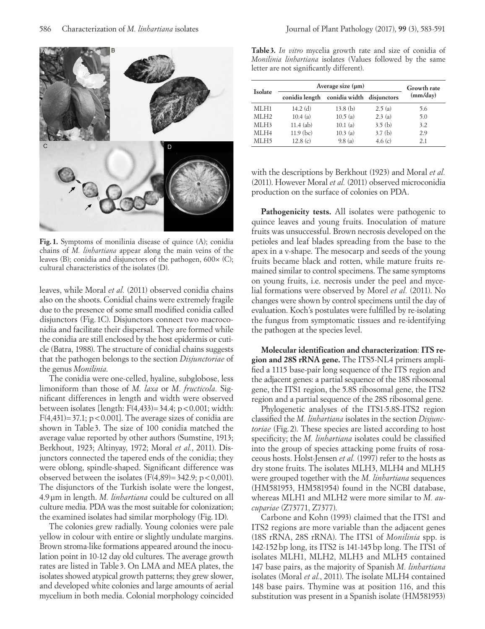

**Fig. 1.** Symptoms of monilinia disease of quince (A); conidia chains of *M. linhartiana* appear along the main veins of the leaves (B); conidia and disjunctors of the pathogen, 600× (C); cultural characteristics of the isolates (D).

leaves, while Moral *et al.* (2011) observed conidia chains also on the shoots. Conidial chains were extremely fragile due to the presence of some small modified conidia called disjunctors (Fig. 1C). Disjunctors connect two macroconidia and facilitate their dispersal. They are formed while the conidia are still enclosed by the host epidermis or cuticle (Batra, 1988). The structure of conidial chains suggests that the pathogen belongs to the section *Disjunctoriae* of the genus *Monilinia*.

The conidia were one-celled, hyaline, subglobose, less limoniform than those of *M. laxa* or *M. fructicola.* Significant differences in length and width were observed between isolates [length:  $F(4,433)=34.4$ ; p $< 0.001$ ; width:  $F(4,431)=37.1$ ; p<0.001]. The average sizes of conidia are shown in Table 3. The size of 100 conidia matched the average value reported by other authors (Sumstine, 1913; Berkhout, 1923; Altinyay, 1972; Moral *et al.*, 2011). Disjunctors connected the tapered ends of the conidia; they were oblong, spindle-shaped. Significant difference was observed between the isolates  $(F(4,89)=342.9; p<0.001)$ . The disjunctors of the Turkish isolate were the longest, 4.9μm in length. *M. linhartiana* could be cultured on all culture media. PDA was the most suitable for colonization; the examined isolates had similar morphology (Fig.1D).

The colonies grew radially. Young colonies were pale yellow in colour with entire or slightly undulate margins. Brown stroma-like formations appeared around the inoculation point in 10-12 day old cultures. The average growth rates are listed in Table 3. On LMA and MEA plates, the isolates showed atypical growth patterns; they grew slower, and developed white colonies and large amounts of aerial mycelium in both media. Colonial morphology coincided

**Table3.** *In vitro* mycelia growth rate and size of conidia of *Monilinia linhartiana* isolates (Values followed by the same letter are not significantly different).

| Isolate          | Average size $(\mu m)$                   | <b>Growth rate</b><br>(mm/day) |           |     |
|------------------|------------------------------------------|--------------------------------|-----------|-----|
|                  | conidia length conidia width disjunctors |                                |           |     |
| MLH1             | $14.2$ (d)                               | $13.8$ (b)                     | 2.5(a)    | 5.6 |
| MLH <sub>2</sub> | 10.4(a)                                  | 10.5(a)                        | 2.3(a)    | 5.0 |
| MLH3             | $11.4$ (ab)                              | 10.1(a)                        | 3.5(b)    | 3.2 |
| MLH4             | $11.9$ (bc)                              | 10.3(a)                        | 3.7(b)    | 2.9 |
| MLH5             | 12.8(c)                                  | 9.8(a)                         | 4.6 $(c)$ | 2.1 |

with the descriptions by Berkhout (1923) and Moral *et al.* (2011). However Moral *et al.* (2011) observed microconidia production on the surface of colonies on PDA.

Pathogenicity tests. All isolates were pathogenic to quince leaves and young fruits. Inoculation of mature fruits was unsuccessful. Brown necrosis developed on the petioles and leaf blades spreading from the base to the apex in a v-shape. The mesocarp and seeds of the young fruits became black and rotten, while mature fruits remained similar to control specimens. The same symptoms on young fruits, i.e. necrosis under the peel and mycelial formations were observed by Morel *et al.* (2011). No changes were shown by control specimens until the day of evaluation. Koch's postulates were fulfilled by re-isolating the fungus from symptomatic tissues and re-identifying the pathogen at the species level.

**Molecular identification and characterization**: **ITS region and 28S rRNA gene.** The ITS5-NL4 primers amplified a 1115 base-pair long sequence of the ITS region and the adjacent genes: a partial sequence of the 18S ribosomal gene, the ITS1 region, the 5.8S ribosomal gene, the ITS2 region and a partial sequence of the 28S ribosomal gene.

Phylogenetic analyses of the ITS1-5.8S-ITS2 region classified the *M. linhartiana* isolates in the section *Disjunctoriae* (Fig. 2). These species are listed according to host specificity; the *M. linhartiana* isolates could be classified into the group of species attacking pome fruits of rosaceous hosts. Holst-Jensen *et al.* (1997) refer to the hosts as dry stone fruits. The isolates MLH3, MLH4 and MLH5 were grouped together with the *M. linhartiana* sequences (HM581953, HM581954) found in the NCBI database, whereas MLH1 and MLH2 were more similar to *M. aucupariae* (Z73771, Z7377).

Carbone and Kohn (1993) claimed that the ITS1 and ITS2 regions are more variable than the adjacent genes (18S rRNA, 28S rRNA). The ITS1 of *Monilinia* spp. is 142-152bp long, its ITS2 is 141-145bp long. The ITS1 of isolates MLH1, MLH2, MLH3 and MLH5 contained 147 base pairs, as the majority of Spanish *M. linhartiana* isolates (Moral *et al.*, 2011). The isolate MLH4 contained 148 base pairs. Thymine was at position 116, and this substitution was present in a Spanish isolate (HM581953)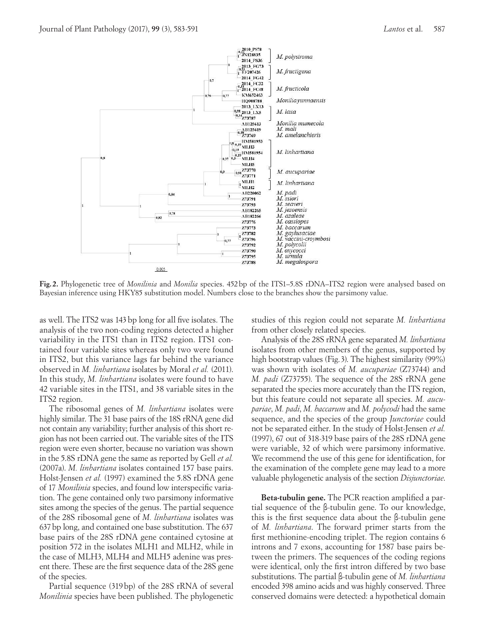

**Fig. 2.** Phylogenetic tree of *Monilinia* and *Monilia* species. 452bp of the ITS1–5.8S rDNA–ITS2 region were analysed based on Bayesian inference using HKY85 substitution model. Numbers close to the branches show the parsimony value.

as well. The ITS2 was 143bp long for all five isolates. The analysis of the two non-coding regions detected a higher variability in the ITS1 than in ITS2 region. ITS1 contained four variable sites whereas only two were found in ITS2, but this variance lags far behind the variance observed in *M. linhartiana* isolates by Moral *et al.* (2011). In this study, *M. linhartiana* isolates were found to have 42 variable sites in the ITS1, and 38 variable sites in the ITS2 region.

The ribosomal genes of *M. linhartiana* isolates were highly similar. The 31 base pairs of the 18S rRNA gene did not contain any variability; further analysis of this short region has not been carried out. The variable sites of the ITS region were even shorter, because no variation was shown in the 5.8S rDNA gene the same as reported by Gell *et al.* (2007a). *M. linhartiana* isolates contained 157 base pairs. Holst-Jensen *et al.* (1997) examined the 5.8S rDNA gene of 17 *Monilinia* species, and found low interspecific variation. The gene contained only two parsimony informative sites among the species of the genus. The partial sequence of the 28S ribosomal gene of *M. linhartiana* isolates was 637bp long, and contained one base substitution. The 637 base pairs of the 28S rDNA gene contained cytosine at position 572 in the isolates MLH1 and MLH2, while in the case of MLH3, MLH4 and MLH5 adenine was present there. These are the first sequence data of the 28S gene of the species.

Partial sequence (319bp) of the 28S rRNA of several *Monilinia* species have been published. The phylogenetic

studies of this region could not separate *M. linhartiana* from other closely related species.

Analysis of the 28S rRNA gene separated *M. linhartiana* isolates from other members of the genus, supported by high bootstrap values (Fig.3). The highest similarity (99%) was shown with isolates of *M. aucupariae* (Z73744) and *M. padi* (Z73755). The sequence of the 28S rRNA gene separated the species more accurately than the ITS region, but this feature could not separate all species. *M. aucupariae*, *M. padi*, *M. baccarum* and *M. polycodi* had the same sequence, and the species of the group *Junctoriae* could not be separated either. In the study of Holst-Jensen *et al.* (1997), 67 out of 318-319 base pairs of the 28S rDNA gene were variable, 32 of which were parsimony informative. We recommend the use of this gene for identification, for the examination of the complete gene may lead to a more valuable phylogenetic analysis of the section *Disjunctoriae*.

**Beta-tubulin gene.** The PCR reaction amplified a partial sequence of the β-tubulin gene. To our knowledge, this is the first sequence data about the β-tubulin gene of *M. linhartiana*. The forward primer starts from the first methionine-encoding triplet. The region contains 6 introns and 7 exons, accounting for 1587 base pairs between the primers. The sequences of the coding regions were identical, only the first intron differed by two base substitutions. The partial β-tubulin gene of *M. linhartiana* encoded 398 amino acids and was highly conserved. Three conserved domains were detected: a hypothetical domain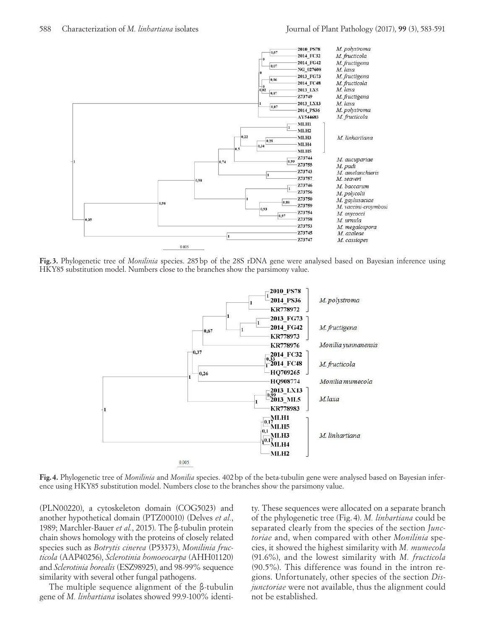

**Fig. 3.** Phylogenetic tree of *Monilinia* species. 285bp of the 28S rDNA gene were analysed based on Bayesian inference using HKY85 substitution model. Numbers close to the branches show the parsimony value.



**Fig. 4.** Phylogenetic tree of *Monilinia* and *Monilia* species. 402bp of the beta-tubulin gene were analysed based on Bayesian inference using HKY85 substitution model. Numbers close to the branches show the parsimony value.

(PLN00220), a cytoskeleton domain (COG5023) and another hypothetical domain (PTZ00010) (Delves *et al.*, 1989; Marchler-Bauer *et al.*, 2015). The β-tubulin protein chain shows homology with the proteins of closely related species such as *Botrytis cinerea* (P53373), *Monilinia fructicola* (AAP40256), *Sclerotinia homoeocarpa* (AHH01120) and *Sclerotinia borealis* (ESZ98925), and 98-99% sequence similarity with several other fungal pathogens.

The multiple sequence alignment of the β-tubulin gene of *M. linhartiana* isolates showed 99.9-100% identity. These sequences were allocated on a separate branch of the phylogenetic tree (Fig. 4). *M. linhartiana* could be separated clearly from the species of the section *Junctoriae* and, when compared with other *Monilinia* species, it showed the highest similarity with *M. mumecola* (91.6%), and the lowest similarity with *M. fructicola* (90.5%). This difference was found in the intron regions. Unfortunately, other species of the section *Disjunctoriae* were not available, thus the alignment could not be established.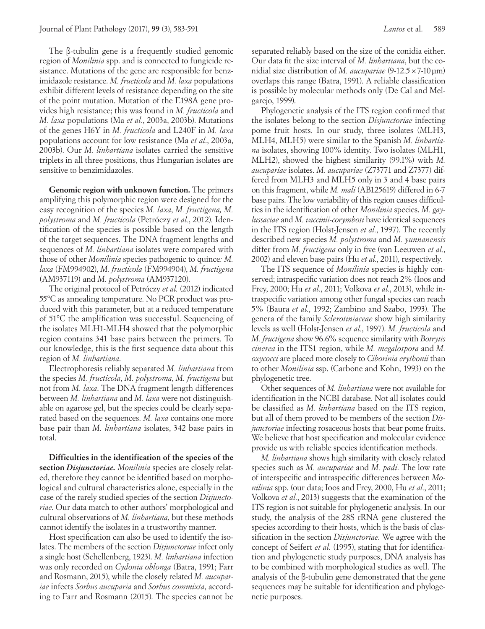The β-tubulin gene is a frequently studied genomic region of *Monilinia* spp. and is connected to fungicide resistance. Mutations of the gene are responsible for benzimidazole resistance. *M. fructicola* and *M. laxa* populations exhibit different levels of resistance depending on the site of the point mutation. Mutation of the E198A gene provides high resistance; this was found in *M. fructicola* and *M. laxa* populations (Ma *et al.*, 2003a, 2003b). Mutations of the genes H6Y in *M. fructicola* and L240F in *M. laxa* populations account for low resistance (Ma *et al*., 2003a, 2003b). Our *M. linhartiana* isolates carried the sensitive triplets in all three positions, thus Hungarian isolates are sensitive to benzimidazoles.

**Genomic region with unknown function.** The primers amplifying this polymorphic region were designed for the easy recognition of the species *M. laxa*, *M. fructigena, M. polystroma* and *M. fructicola* (Petróczy *et al.*, 2012). Identification of the species is possible based on the length of the target sequences. The DNA fragment lengths and sequences of *M. linhartiana* isolates were compared with those of other *Monilinia* species pathogenic to quince*: M. laxa* (FM994902), *M. fructicola* (FM994904), *M. fructigena*  (AM937119) and *M. polystroma* (AM937120).

The original protocol of Petróczy *et al.* (2012) indicated 55°C as annealing temperature. No PCR product was produced with this parameter, but at a reduced temperature of 51°C the amplification was successful. Sequencing of the isolates MLH1-MLH4 showed that the polymorphic region contains 341 base pairs between the primers. To our knowledge, this is the first sequence data about this region of *M. linhartiana*.

Electrophoresis reliably separated *M. linhartiana* from the species *M. fructicola*, *M. polystroma*, *M. fructigena* but not from *M. laxa*. The DNA fragment length differences between *M. linhartiana* and *M. laxa* were not distinguishable on agarose gel, but the species could be clearly separated based on the sequences. *M. laxa* contains one more base pair than *M. linhartiana* isolates, 342 base pairs in total.

**Difficulties in the identification of the species of the section** *Disjunctoriae. Monilinia* species are closely related, therefore they cannot be identified based on morphological and cultural characteristics alone, especially in the case of the rarely studied species of the section *Disjunctoriae*. Our data match to other authors' morphological and cultural observations of *M. linhartiana*, but these methods cannot identify the isolates in a trustworthy manner.

Host specification can also be used to identify the isolates. The members of the section *Disjunctoriae* infect only a single host (Schellenberg, 1923). *M. linhartiana* infection was only recorded on *Cydonia oblonga* (Batra, 1991; Farr and Rosmann, 2015), while the closely related *M. aucupariae* infects *Sorbus aucuparia* and *Sorbus commixta*, according to Farr and Rosmann (2015). The species cannot be separated reliably based on the size of the conidia either. Our data fit the size interval of *M. linhartiana*, but the conidial size distribution of *M. aucupariae* (9-12.5×7-10μm) overlaps this range (Batra, 1991). A reliable classification is possible by molecular methods only (De Cal and Melgarejo, 1999).

Phylogenetic analysis of the ITS region confirmed that the isolates belong to the section *Disjunctoriae* infecting pome fruit hosts. In our study, three isolates (MLH3, MLH4, MLH5) were similar to the Spanish *M. linhartiana* isolates, showing 100% identity. Two isolates (MLH1, MLH2), showed the highest similarity (99.1%) with *M. aucupariae* isolates. *M. aucupariae* (Z73771 and Z7377) differed from MLH3 and MLH5 only in 3 and 4 base pairs on this fragment, while *M. mali* (AB125619) differed in 6-7 base pairs. The low variability of this region causes difficulties in the identification of other *Monilinia* species. *M. gaylussaciae* and *M. vaccinii-corymbosi* have identical sequences in the ITS region (Holst-Jensen *et al.*, 1997). The recently described new species *M. polystroma* and *M. yunnanensis* differ from *M. fructigena* only in five (van Leeuwen *et al.*, 2002) and eleven base pairs (Hu *et al.*, 2011), respectively.

The ITS sequence of *Monilinia* species is highly conserved; intraspecific variation does not reach 2% (Ioos and Frey, 2000; Hu *et al.*, 2011; Volkova *et al.*, 2013), while intraspecific variation among other fungal species can reach 5% (Baura *et al.*, 1992; Zambino and Szabo, 1993). The genera of the family *Sclerotiniaceae* show high similarity levels as well (Holst-Jensen *et al.*, 1997). *M. fructicola* and *M. fructigena* show 96.6% sequence similarity with *Botrytis cinerea* in the ITS1 region, while *M. megalospora* and *M. oxycocci* are placed more closely to *Ciborinia erythonii* than to other *Monilinia* ssp. (Carbone and Kohn, 1993) on the phylogenetic tree.

Other sequences of *M. linhartiana* were not available for identification in the NCBI database. Not all isolates could be classified as *M. linhartiana* based on the ITS region, but all of them proved to be members of the section *Disjunctoriae* infecting rosaceous hosts that bear pome fruits. We believe that host specification and molecular evidence provide us with reliable species identification methods.

*M. linhartiana* shows high similarity with closely related species such as *M. aucupariae* and *M. padi*. The low rate of interspecific and intraspecific differences between *Monilinia* spp. (our data; Ioos and Frey, 2000, Hu *et al.*, 2011; Volkova *et al.*, 2013) suggests that the examination of the ITS region is not suitable for phylogenetic analysis. In our study, the analysis of the 28S rRNA gene clustered the species according to their hosts, which is the basis of classification in the section *Disjunctoriae*. We agree with the concept of Seifert *et al.* (1995), stating that for identification and phylogenetic study purposes, DNA analysis has to be combined with morphological studies as well. The analysis of the β-tubulin gene demonstrated that the gene sequences may be suitable for identification and phylogenetic purposes.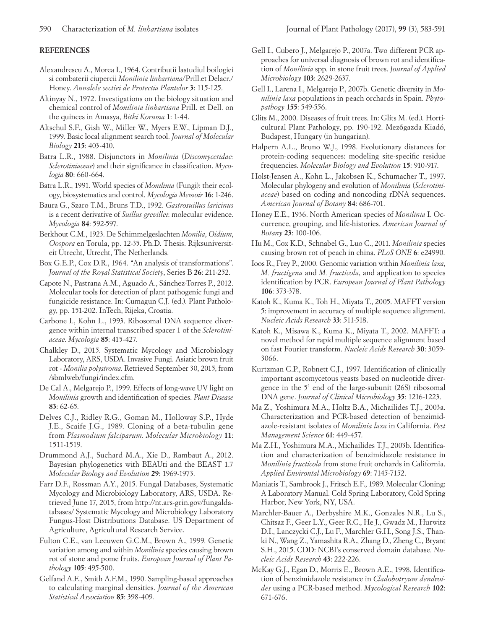# **REFERENCES**

- Alexandrescu A., Morea I., 1964. Contributii lastudiul boilogiei si combaterii ciupercii *Monilinia linhartiana*/Prill.et Delacr./ Honey. *Annalele sectiei de Protectia Plantelor* **3**: 115-125.
- Altinyay N., 1972. Investigations on the biology situation and chemical control of *Monilinia linhartiana* Prill. et Dell. on the quinces in Amasya, *Bitki Koruma* **1**: 1-44.
- Altschul S.F., Gish W., Miller W., Myers E.W., Lipman D.J., 1999. Basic local alignment search tool. *Journal of Molecular Biology* **215**: 403-410.
- Batra L.R., 1988. Disjunctors in *Monilinia* (*Discomycetidae: Sclerotiniaceae*) and their significance in classification. *Mycologia* **80**: 660-664.
- Batra L.R., 1991. World species of *Monilinia* (Fungi): their ecology, biosystematics and control. *Mycologia Memoir* **16**: 1-246.
- Baura G., Szaro T.M., Bruns T.D., 1992. *Gastrosuillus laricinus* is a recent derivative of *Suillus grevillei*: molecular evidence. *Mycologia* **84**: 592-597.
- Berkhout C.M., 1923. De Schimmelgeslachten *Monilia*, *Oidium*, *Oospora* en Torula, pp. 12-35. Ph.D. Thesis. Rijksuniversiteit Utrecht, Utrecht, The Netherlands.
- Box G.E.P., Cox D.R., 1964. "An analysis of transformations". *Journal of the Royal Statistical Society*, Series B **26**: 211-252.
- Capote N., Pastrana A.M., Aguado A., Sánchez-Torres P., 2012. Molecular tools for detection of plant pathogenic fungi and fungicide resistance. In: Cumagun C.J. (ed.). Plant Pathology, pp. 151-202. InTech, Rijeka, Croatia.
- Carbone I., Kohn L., 1993. Ribosomal DNA sequence divergence within internal transcribed spacer 1 of the *Sclerotiniaceae*. *Mycologia* **85**: 415-427.
- Chalkley D., 2015. Systematic Mycology and Microbiology Laboratory, ARS, USDA. Invasive Fungi. Asiatic brown fruit rot - *Monilia polystroma*. Retrieved September 30, 2015, from /sbmlweb/fungi/index.cfm.
- De Cal A., Melgarejo P., 1999. Effects of long-wave UV light on *Monilinia* growth and identification of species. *Plant Disease* **83**: 62-65.
- Delves C.J., Ridley R.G., Goman M., Holloway S.P., Hyde J.E., Scaife J.G., 1989. Cloning of a beta-tubulin gene from *Plasmodium falciparum*. *Molecular Microbiology* **11**: 1511-1519.
- Drummond A.J., Suchard M.A., Xie D., Rambaut A., 2012. Bayesian phylogenetics with BEAUti and the BEAST 1.7 *Molecular Biology and Evolution* **29**: 1969-1973.
- Farr D.F., Rossman A.Y., 2015. Fungal Databases, Systematic Mycology and Microbiology Laboratory, ARS, USDA. Retrieved June 17, 2015, from http://nt.ars-grin.gov/fungaldatabases/ Systematic Mycology and Microbiology Laboratory Fungus-Host Distributions Database. US Department of Agriculture, Agricultural Research Service.
- Fulton C.E., van Leeuwen G.C.M., Brown A., 1999. Genetic variation among and within *Monilinia* species causing brown rot of stone and pome fruits. *European Journal of Plant Pathology* **105**: 495-500.
- Gelfand A.E., Smith A.F.M., 1990. Sampling-based approaches to calculating marginal densities. *Journal of the American Statistical Association* **85**: 398-409.
- Gell I., Cubero J., Melgarejo P., 2007a. Two different PCR approaches for universal diagnosis of brown rot and identification of *Monilinia* spp. in stone fruit trees. *Journal of Applied Microbiology* **103**: 2629-2637.
- Gell I., Larena I., Melgarejo P., 2007b. Genetic diversity in *Monilinia laxa* populations in peach orchards in Spain. *Phytopathogy* **155**: 549-556.
- Glits M., 2000. Diseases of fruit trees. In: Glits M. (ed.). Horticultural Plant Pathology, pp. 190-192. Mezőgazda Kiadó, Budapest, Hungary (in hungarian).
- Halpern A.L., Bruno W.J., 1998. Evolutionary distances for protein-coding sequences: modeling site-specific residue frequencies. *Molecular Biology and Evolution* **15**: 910-917.
- Holst-Jensen A., Kohn L., Jakobsen K., Schumacher T., 1997. Molecular phylogeny and evolution of *Monilinia* (*Sclerotiniaceae*) based on coding and noncoding rDNA sequences. *American Journal of Botany* **84**: 686-701.
- Honey E.E., 1936. North American species of *Monilinia* I. Occurrence, grouping, and life-histories. *American Journal of Botany* **23**: 100-106.
- Hu M., Cox K.D., Schnabel G., Luo C., 2011. *Monilinia* species causing brown rot of peach in china. *PLoS ONE* **6**: e24990.
- Ioos R., Frey P., 2000. Genomic variation within *Monilinia laxa*, *M. fructigena* and *M. fructicola*, and application to species identification by PCR. *European Journal of Plant Pathology* **106**: 373-378.
- Katoh K., Kuma K., Toh H., Miyata T., 2005. MAFFT version 5: improvement in accuracy of multiple sequence alignment. *Nucleic Acids Research* **33**: 511-518.
- Katoh K., Misawa K., Kuma K., Miyata T., 2002. MAFFT: a novel method for rapid multiple sequence alignment based on fast Fourier transform. *Nucleic Acids Research* **30**: 3059- 3066.
- Kurtzman C.P., Robnett C.J., 1997. Identification of clinically important ascomycetous yeasts based on nucleotide divergence in the 5' end of the large-subunit (26S) ribosomal DNA gene. *Journal of Clinical Microbiology* **35**: 1216-1223.
- Ma Z., Yoshimura M.A., Holtz B.A., Michailides T.J., 2003a. Characterization and PCR-based detection of benzimidazole-resistant isolates of *Monilinia laxa* in California. *Pest Management Science* **61**: 449-457.
- Ma Z.H., Yoshimura M.A., Michailides T.J., 2003b. Identification and characterization of benzimidazole resistance in *Monilinia fructicola* from stone fruit orchards in California. *Applied Environtal Microbiology* **69**: 7145-7152.
- Maniatis T., Sambrook J., Fritsch E.F., 1989. Molecular Cloning: A Laboratory Manual. Cold Spring Laboratory, Cold Spring Harbor, New York, NY, USA.
- Marchler-Bauer A., Derbyshire M.K., Gonzales N.R., Lu S., Chitsaz F., Geer L.Y., Geer R.C., He J., Gwadz M., Hurwitz D.I., Lanczycki C.J., Lu F., Marchler G.H., Song J.S., Thanki N., Wang Z., Yamashita R.A., Zhang D., Zheng C., Bryant S.H., 2015. CDD: NCBI's conserved domain database. *Nucleic Acids Research* **43**: 222-226.
- McKay G.J., Egan D., Morris E., Brown A.E., 1998. Identification of benzimidazole resistance in *Cladobotryum dendroides* using a PCR-based method. *Mycological Research* **102**: 671-676.